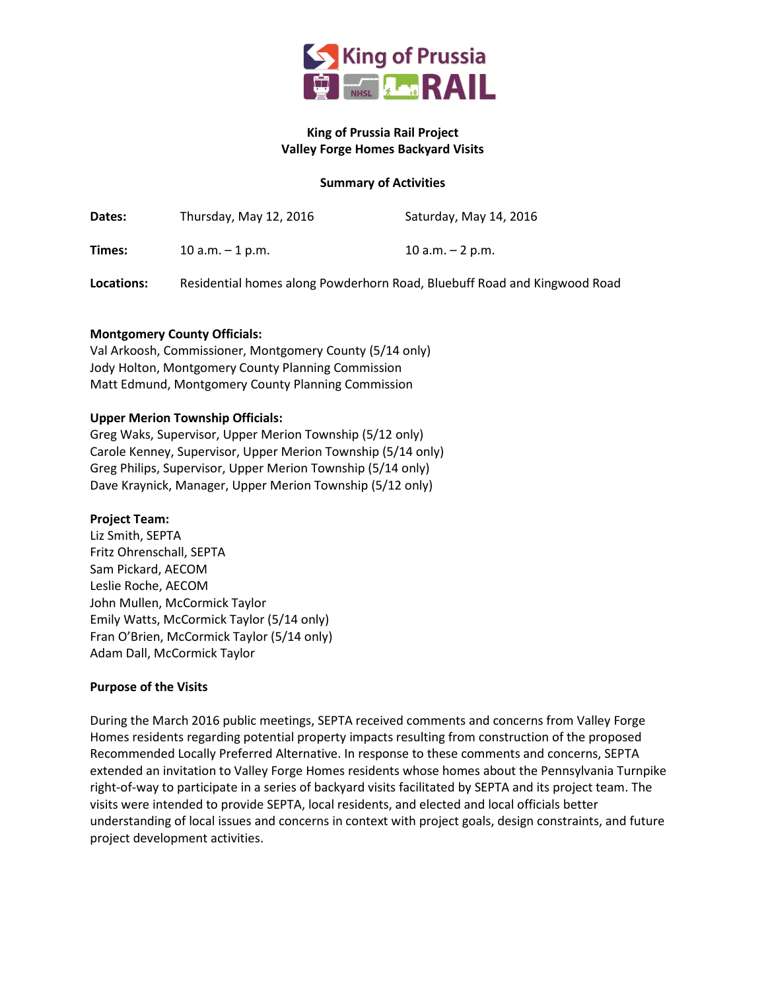

# King of Prussia Rail Project Valley Forge Homes Backyard Visits

# Summary of Activities

| Dates:     | Thursday, May 12, 2016                                                   | Saturday, May 14, 2016 |
|------------|--------------------------------------------------------------------------|------------------------|
| Times:     | 10 a.m. $-$ 1 p.m.                                                       | 10 a.m. $-$ 2 p.m.     |
| Locations: | Residential homes along Powderhorn Road, Bluebuff Road and Kingwood Road |                        |

#### Montgomery County Officials:

Val Arkoosh, Commissioner, Montgomery County (5/14 only) Jody Holton, Montgomery County Planning Commission Matt Edmund, Montgomery County Planning Commission

#### Upper Merion Township Officials:

Greg Waks, Supervisor, Upper Merion Township (5/12 only) Carole Kenney, Supervisor, Upper Merion Township (5/14 only) Greg Philips, Supervisor, Upper Merion Township (5/14 only) Dave Kraynick, Manager, Upper Merion Township (5/12 only)

#### Project Team:

Liz Smith, SEPTA Fritz Ohrenschall, SEPTA Sam Pickard, AECOM Leslie Roche, AECOM John Mullen, McCormick Taylor Emily Watts, McCormick Taylor (5/14 only) Fran O'Brien, McCormick Taylor (5/14 only) Adam Dall, McCormick Taylor

# Purpose of the Visits

During the March 2016 public meetings, SEPTA received comments and concerns from Valley Forge Homes residents regarding potential property impacts resulting from construction of the proposed Recommended Locally Preferred Alternative. In response to these comments and concerns, SEPTA extended an invitation to Valley Forge Homes residents whose homes about the Pennsylvania Turnpike right-of-way to participate in a series of backyard visits facilitated by SEPTA and its project team. The visits were intended to provide SEPTA, local residents, and elected and local officials better understanding of local issues and concerns in context with project goals, design constraints, and future project development activities.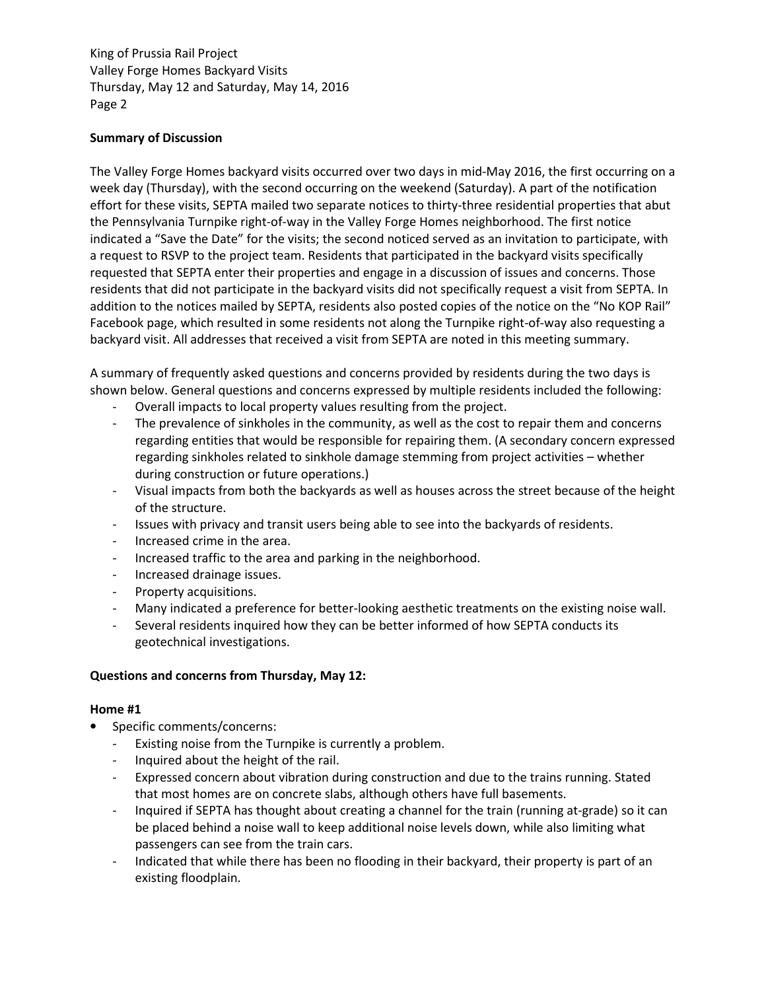# Summary of Discussion

The Valley Forge Homes backyard visits occurred over two days in mid-May 2016, the first occurring on a week day (Thursday), with the second occurring on the weekend (Saturday). A part of the notification effort for these visits, SEPTA mailed two separate notices to thirty-three residential properties that abut the Pennsylvania Turnpike right-of-way in the Valley Forge Homes neighborhood. The first notice indicated a "Save the Date" for the visits; the second noticed served as an invitation to participate, with a request to RSVP to the project team. Residents that participated in the backyard visits specifically requested that SEPTA enter their properties and engage in a discussion of issues and concerns. Those residents that did not participate in the backyard visits did not specifically request a visit from SEPTA. In addition to the notices mailed by SEPTA, residents also posted copies of the notice on the "No KOP Rail" Facebook page, which resulted in some residents not along the Turnpike right-of-way also requesting a backyard visit. All addresses that received a visit from SEPTA are noted in this meeting summary.

A summary of frequently asked questions and concerns provided by residents during the two days is shown below. General questions and concerns expressed by multiple residents included the following:

- Overall impacts to local property values resulting from the project.
- The prevalence of sinkholes in the community, as well as the cost to repair them and concerns regarding entities that would be responsible for repairing them. (A secondary concern expressed regarding sinkholes related to sinkhole damage stemming from project activities – whether during construction or future operations.)
- Visual impacts from both the backyards as well as houses across the street because of the height of the structure.
- Issues with privacy and transit users being able to see into the backyards of residents.
- Increased crime in the area.
- Increased traffic to the area and parking in the neighborhood.
- Increased drainage issues.
- Property acquisitions.
- Many indicated a preference for better-looking aesthetic treatments on the existing noise wall.
- Several residents inquired how they can be better informed of how SEPTA conducts its geotechnical investigations.

# Questions and concerns from Thursday, May 12:

- Specific comments/concerns:
	- Existing noise from the Turnpike is currently a problem.
	- Inquired about the height of the rail.
	- Expressed concern about vibration during construction and due to the trains running. Stated that most homes are on concrete slabs, although others have full basements.
	- Inquired if SEPTA has thought about creating a channel for the train (running at-grade) so it can be placed behind a noise wall to keep additional noise levels down, while also limiting what passengers can see from the train cars.
	- Indicated that while there has been no flooding in their backyard, their property is part of an existing floodplain.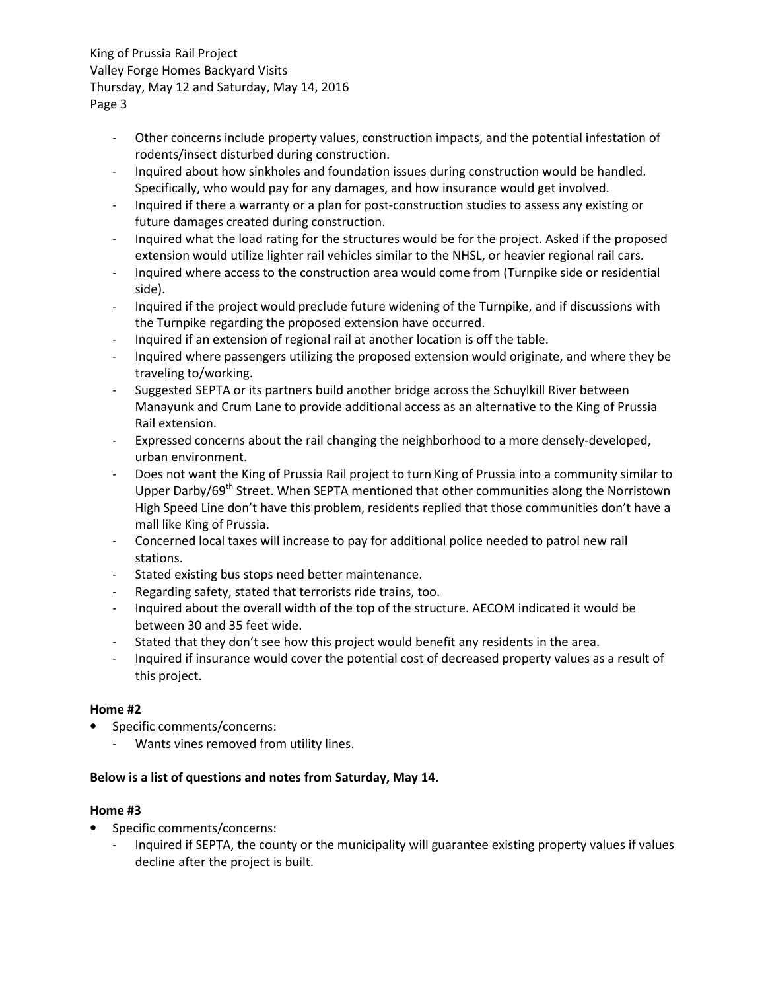- Other concerns include property values, construction impacts, and the potential infestation of rodents/insect disturbed during construction.
- Inquired about how sinkholes and foundation issues during construction would be handled. Specifically, who would pay for any damages, and how insurance would get involved.
- Inquired if there a warranty or a plan for post-construction studies to assess any existing or future damages created during construction.
- Inquired what the load rating for the structures would be for the project. Asked if the proposed extension would utilize lighter rail vehicles similar to the NHSL, or heavier regional rail cars.
- Inquired where access to the construction area would come from (Turnpike side or residential side).
- Inquired if the project would preclude future widening of the Turnpike, and if discussions with the Turnpike regarding the proposed extension have occurred.
- Inquired if an extension of regional rail at another location is off the table.
- Inquired where passengers utilizing the proposed extension would originate, and where they be traveling to/working.
- Suggested SEPTA or its partners build another bridge across the Schuylkill River between Manayunk and Crum Lane to provide additional access as an alternative to the King of Prussia Rail extension.
- Expressed concerns about the rail changing the neighborhood to a more densely-developed, urban environment.
- Does not want the King of Prussia Rail project to turn King of Prussia into a community similar to Upper Darby/69<sup>th</sup> Street. When SEPTA mentioned that other communities along the Norristown High Speed Line don't have this problem, residents replied that those communities don't have a mall like King of Prussia.
- Concerned local taxes will increase to pay for additional police needed to patrol new rail stations.
- Stated existing bus stops need better maintenance.
- Regarding safety, stated that terrorists ride trains, too.
- Inquired about the overall width of the top of the structure. AECOM indicated it would be between 30 and 35 feet wide.
- Stated that they don't see how this project would benefit any residents in the area.
- Inquired if insurance would cover the potential cost of decreased property values as a result of this project.

# Home #2

- Specific comments/concerns:
	- Wants vines removed from utility lines.

# Below is a list of questions and notes from Saturday, May 14.

- Specific comments/concerns:
	- Inquired if SEPTA, the county or the municipality will guarantee existing property values if values decline after the project is built.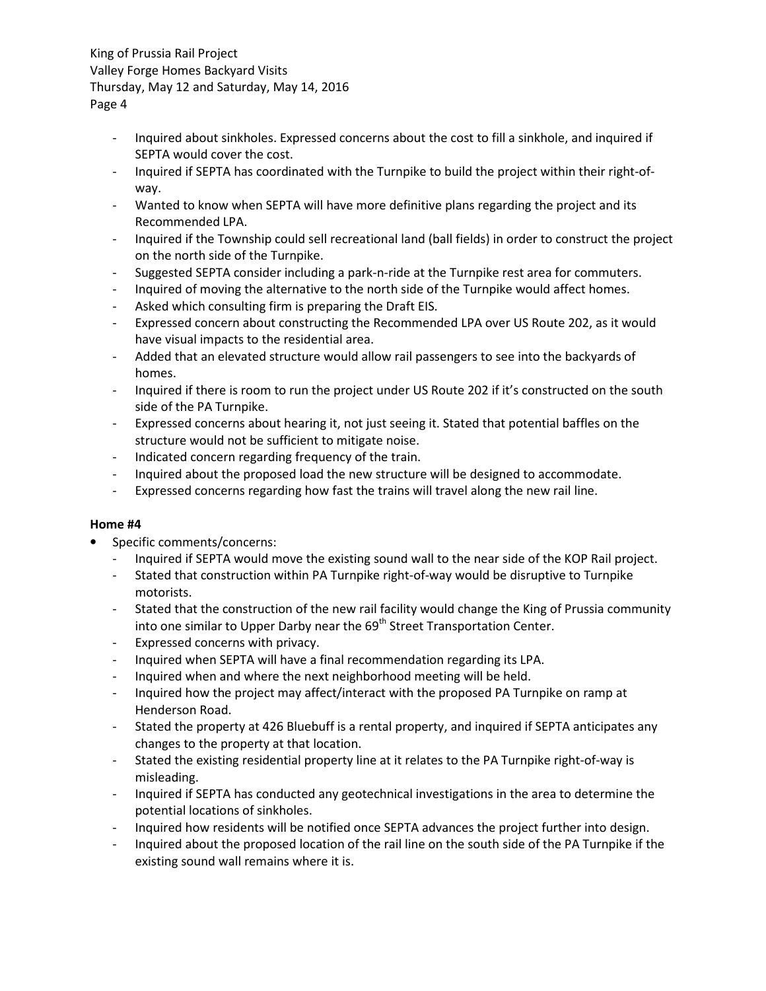- Inquired about sinkholes. Expressed concerns about the cost to fill a sinkhole, and inquired if SEPTA would cover the cost.
- Inquired if SEPTA has coordinated with the Turnpike to build the project within their right-ofway.
- Wanted to know when SEPTA will have more definitive plans regarding the project and its Recommended LPA.
- Inquired if the Township could sell recreational land (ball fields) in order to construct the project on the north side of the Turnpike.
- Suggested SEPTA consider including a park-n-ride at the Turnpike rest area for commuters.
- Inquired of moving the alternative to the north side of the Turnpike would affect homes.
- Asked which consulting firm is preparing the Draft EIS.
- Expressed concern about constructing the Recommended LPA over US Route 202, as it would have visual impacts to the residential area.
- Added that an elevated structure would allow rail passengers to see into the backyards of homes.
- Inquired if there is room to run the project under US Route 202 if it's constructed on the south side of the PA Turnpike.
- Expressed concerns about hearing it, not just seeing it. Stated that potential baffles on the structure would not be sufficient to mitigate noise.
- Indicated concern regarding frequency of the train.
- Inquired about the proposed load the new structure will be designed to accommodate.
- Expressed concerns regarding how fast the trains will travel along the new rail line.

- Specific comments/concerns:
	- Inquired if SEPTA would move the existing sound wall to the near side of the KOP Rail project.
	- Stated that construction within PA Turnpike right-of-way would be disruptive to Turnpike motorists.
	- Stated that the construction of the new rail facility would change the King of Prussia community into one similar to Upper Darby near the  $69<sup>th</sup>$  Street Transportation Center.
	- Expressed concerns with privacy.
	- Inquired when SEPTA will have a final recommendation regarding its LPA.
	- Inquired when and where the next neighborhood meeting will be held.
	- Inquired how the project may affect/interact with the proposed PA Turnpike on ramp at Henderson Road.
	- Stated the property at 426 Bluebuff is a rental property, and inquired if SEPTA anticipates any changes to the property at that location.
	- Stated the existing residential property line at it relates to the PA Turnpike right-of-way is misleading.
	- Inquired if SEPTA has conducted any geotechnical investigations in the area to determine the potential locations of sinkholes.
	- Inquired how residents will be notified once SEPTA advances the project further into design.
	- Inquired about the proposed location of the rail line on the south side of the PA Turnpike if the existing sound wall remains where it is.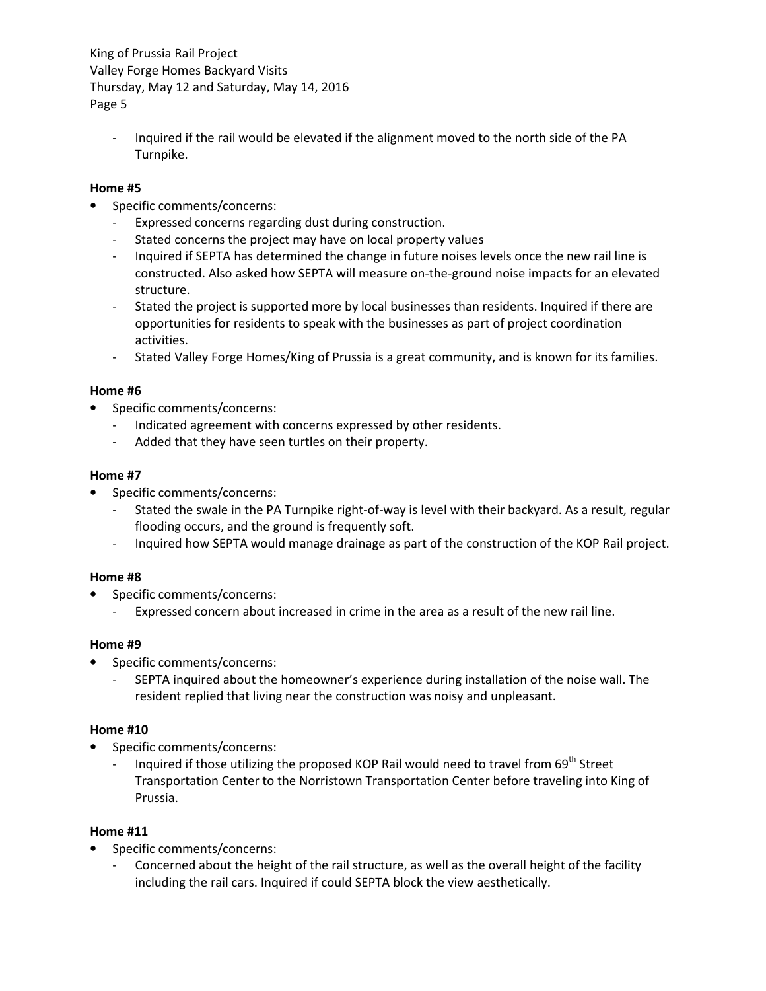- Inquired if the rail would be elevated if the alignment moved to the north side of the PA Turnpike.

# Home #5

- Specific comments/concerns:
	- Expressed concerns regarding dust during construction.
	- Stated concerns the project may have on local property values
	- Inquired if SEPTA has determined the change in future noises levels once the new rail line is constructed. Also asked how SEPTA will measure on-the-ground noise impacts for an elevated structure.
	- Stated the project is supported more by local businesses than residents. Inquired if there are opportunities for residents to speak with the businesses as part of project coordination activities.
	- Stated Valley Forge Homes/King of Prussia is a great community, and is known for its families.

#### Home #6

- Specific comments/concerns:
	- Indicated agreement with concerns expressed by other residents.
	- Added that they have seen turtles on their property.

#### Home #7

- Specific comments/concerns:
	- Stated the swale in the PA Turnpike right-of-way is level with their backyard. As a result, regular flooding occurs, and the ground is frequently soft.
	- Inquired how SEPTA would manage drainage as part of the construction of the KOP Rail project.

# Home #8

- Specific comments/concerns:
	- Expressed concern about increased in crime in the area as a result of the new rail line.

#### Home #9

- Specific comments/concerns:
	- SEPTA inquired about the homeowner's experience during installation of the noise wall. The resident replied that living near the construction was noisy and unpleasant.

# Home #10

- Specific comments/concerns:
	- Inquired if those utilizing the proposed KOP Rail would need to travel from 69<sup>th</sup> Street Transportation Center to the Norristown Transportation Center before traveling into King of Prussia.

- Specific comments/concerns:
	- Concerned about the height of the rail structure, as well as the overall height of the facility including the rail cars. Inquired if could SEPTA block the view aesthetically.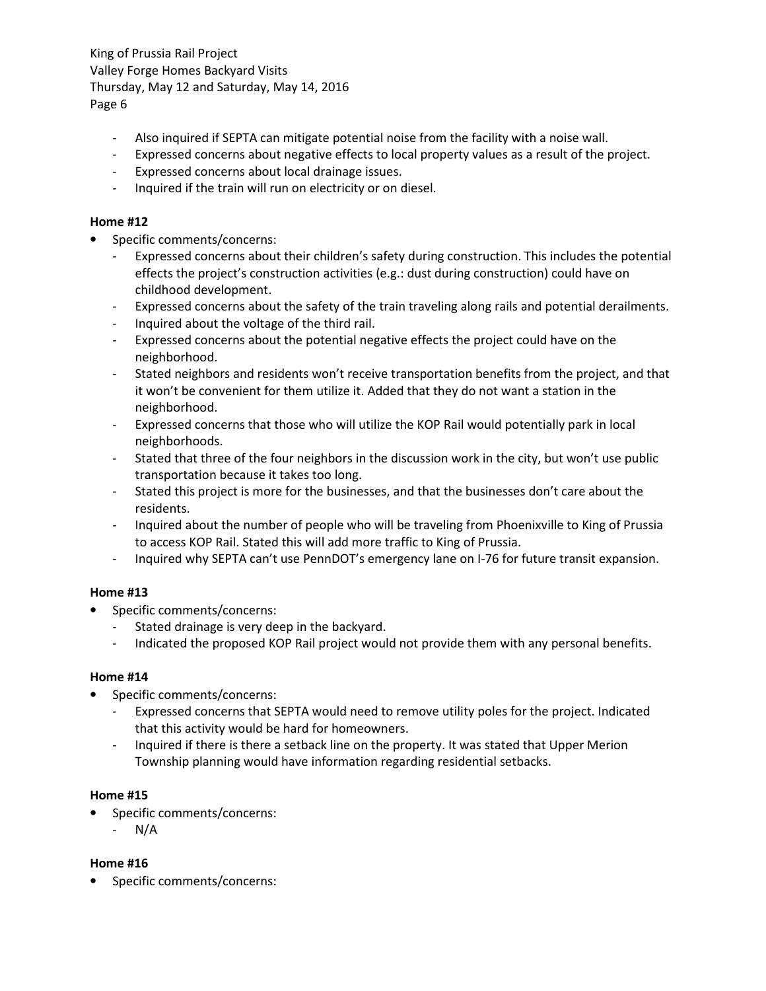- Also inquired if SEPTA can mitigate potential noise from the facility with a noise wall.
- Expressed concerns about negative effects to local property values as a result of the project.
- Expressed concerns about local drainage issues.
- Inquired if the train will run on electricity or on diesel.

### Home #12

- Specific comments/concerns:
	- Expressed concerns about their children's safety during construction. This includes the potential effects the project's construction activities (e.g.: dust during construction) could have on childhood development.
	- Expressed concerns about the safety of the train traveling along rails and potential derailments.
	- Inquired about the voltage of the third rail.
	- Expressed concerns about the potential negative effects the project could have on the neighborhood.
	- Stated neighbors and residents won't receive transportation benefits from the project, and that it won't be convenient for them utilize it. Added that they do not want a station in the neighborhood.
	- Expressed concerns that those who will utilize the KOP Rail would potentially park in local neighborhoods.
	- Stated that three of the four neighbors in the discussion work in the city, but won't use public transportation because it takes too long.
	- Stated this project is more for the businesses, and that the businesses don't care about the residents.
	- Inquired about the number of people who will be traveling from Phoenixville to King of Prussia to access KOP Rail. Stated this will add more traffic to King of Prussia.
	- Inquired why SEPTA can't use PennDOT's emergency lane on I-76 for future transit expansion.

# Home #13

- Specific comments/concerns:
	- Stated drainage is very deep in the backyard.
	- Indicated the proposed KOP Rail project would not provide them with any personal benefits.

# Home #14

- Specific comments/concerns:
	- Expressed concerns that SEPTA would need to remove utility poles for the project. Indicated that this activity would be hard for homeowners.
	- Inquired if there is there a setback line on the property. It was stated that Upper Merion Township planning would have information regarding residential setbacks.

# Home #15

- Specific comments/concerns:
	- $N/A$

# Home #16

• Specific comments/concerns: